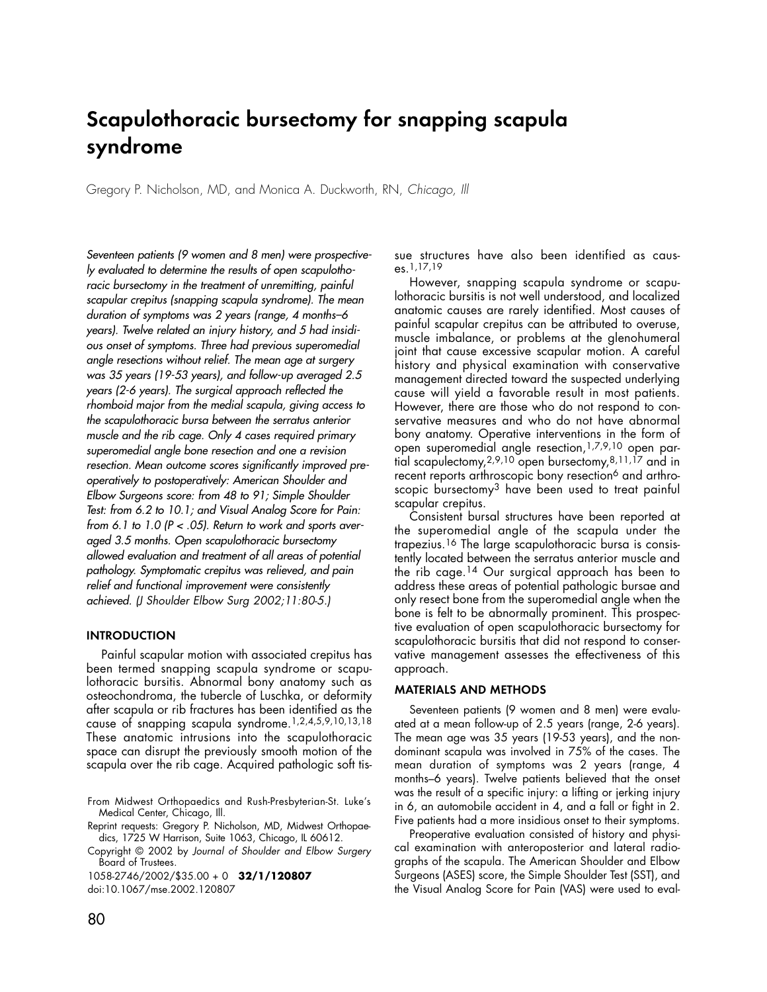# Scapulothoracic bursectomy for snapping scapula syndrome

Gregory P. Nicholson, MD, and Monica A. Duckworth, RN, *Chicago, Ill*

*Seventeen patients (9 women and 8 men) were prospectively evaluated to determine the results of open scapulothoracic bursectomy in the treatment of unremitting, painful scapular crepitus (snapping scapula syndrome). The mean duration of symptoms was 2 years (range, 4 months–6 years). Twelve related an injury history, and 5 had insidious onset of symptoms. Three had previous superomedial angle resections without relief. The mean age at surgery was 35 years (19-53 years), and follow-up averaged 2.5 years (2-6 years). The surgical approach reflected the rhomboid major from the medial scapula, giving access to the scapulothoracic bursa between the serratus anterior muscle and the rib cage. Only 4 cases required primary superomedial angle bone resection and one a revision resection. Mean outcome scores significantly improved preoperatively to postoperatively: American Shoulder and Elbow Surgeons score: from 48 to 91; Simple Shoulder Test: from 6.2 to 10.1; and Visual Analog Score for Pain: from 6.1 to 1.0 (P < .05). Return to work and sports averaged 3.5 months. Open scapulothoracic bursectomy allowed evaluation and treatment of all areas of potential pathology. Symptomatic crepitus was relieved, and pain relief and functional improvement were consistently achieved. (J Shoulder Elbow Surg 2002;11:80-5.)*

# **INTRODUCTION**

Painful scapular motion with associated crepitus has been termed snapping scapula syndrome or scapulothoracic bursitis. Abnormal bony anatomy such as osteochondroma, the tubercle of Luschka, or deformity after scapula or rib fractures has been identified as the cause of snapping scapula syndrome.1,2,4,5,9,10,13,18 These anatomic intrusions into the scapulothoracic space can disrupt the previously smooth motion of the scapula over the rib cage. Acquired pathologic soft tis-

1058-2746/2002/\$35.00 + 0 **32/1/120807** doi:10.1067/mse.2002.120807

sue structures have also been identified as causes.1,17,19

However, snapping scapula syndrome or scapulothoracic bursitis is not well understood, and localized anatomic causes are rarely identified. Most causes of painful scapular crepitus can be attributed to overuse, muscle imbalance, or problems at the glenohumeral joint that cause excessive scapular motion. A careful history and physical examination with conservative management directed toward the suspected underlying cause will yield a favorable result in most patients. However, there are those who do not respond to conservative measures and who do not have abnormal bony anatomy. Operative interventions in the form of open superomedial angle resection, 1,7,9,10 open partial scapulectomy,  $2.9,10$  open bursectomy,  $8,11,17$  and in recent reports arthroscopic bony resection<sup>6</sup> and arthroscopic bursectomy<sup>3</sup> have been used to treat painful scapular crepitus.

Consistent bursal structures have been reported at the superomedial angle of the scapula under the trapezius.16 The large scapulothoracic bursa is consistently located between the serratus anterior muscle and the rib cage.14 Our surgical approach has been to address these areas of potential pathologic bursae and only resect bone from the superomedial angle when the bone is felt to be abnormally prominent. This prospective evaluation of open scapulothoracic bursectomy for scapulothoracic bursitis that did not respond to conservative management assesses the effectiveness of this approach.

## MATERIALS AND METHODS

Seventeen patients (9 women and 8 men) were evaluated at a mean follow-up of 2.5 years (range, 2-6 years). The mean age was 35 years (19-53 years), and the nondominant scapula was involved in 75% of the cases. The mean duration of symptoms was 2 years (range, 4 months–6 years). Twelve patients believed that the onset was the result of a specific injury: a lifting or jerking injury in 6, an automobile accident in 4, and a fall or fight in 2. Five patients had a more insidious onset to their symptoms.

Preoperative evaluation consisted of history and physical examination with anteroposterior and lateral radiographs of the scapula. The American Shoulder and Elbow Surgeons (ASES) score, the Simple Shoulder Test (SST), and the Visual Analog Score for Pain (VAS) were used to eval-

From Midwest Orthopaedics and Rush-Presbyterian-St. Luke's Medical Center, Chicago, Ill.

Reprint requests: Gregory P. Nicholson, MD, Midwest Orthopaedics, 1725 W Harrison, Suite 1063, Chicago, IL 60612.

Copyright © 2002 by *Journal of Shoulder and Elbow Surgery* Board of Trustees.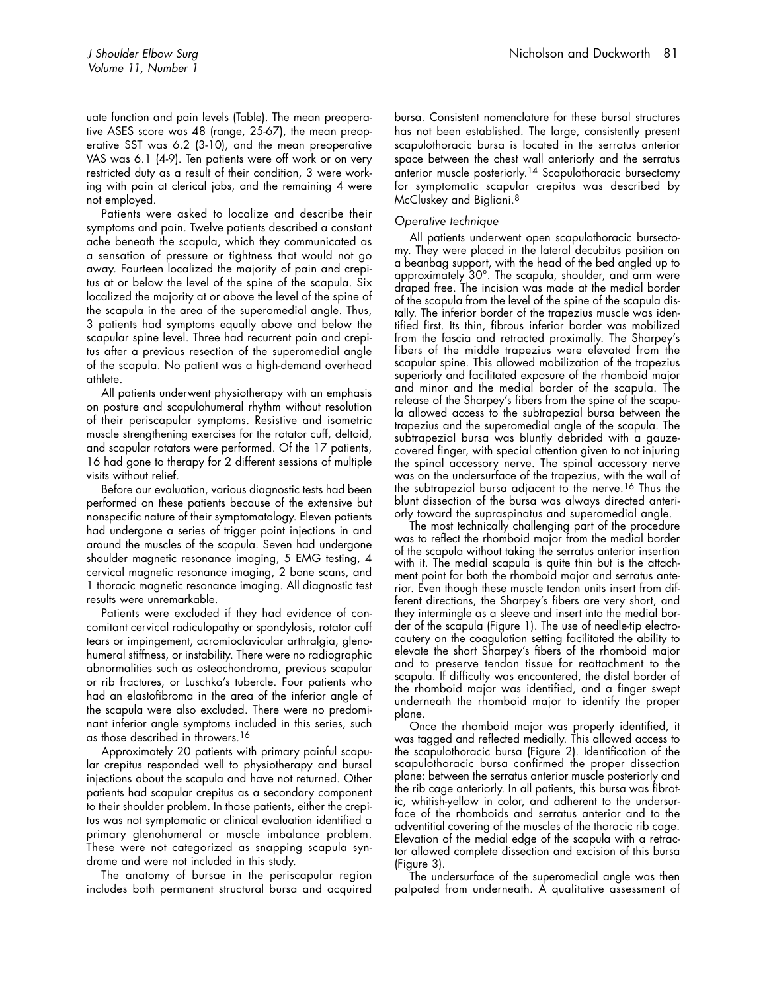uate function and pain levels (Table). The mean preoperative ASES score was 48 (range, 25-67), the mean preoperative SST was 6.2 (3-10), and the mean preoperative VAS was 6.1 (4-9). Ten patients were off work or on very restricted duty as a result of their condition, 3 were working with pain at clerical jobs, and the remaining 4 were not employed.

Patients were asked to localize and describe their symptoms and pain. Twelve patients described a constant ache beneath the scapula, which they communicated as a sensation of pressure or tightness that would not go away. Fourteen localized the majority of pain and crepitus at or below the level of the spine of the scapula. Six localized the majority at or above the level of the spine of the scapula in the area of the superomedial angle. Thus, 3 patients had symptoms equally above and below the scapular spine level. Three had recurrent pain and crepitus after a previous resection of the superomedial angle of the scapula. No patient was a high-demand overhead athlete.

All patients underwent physiotherapy with an emphasis on posture and scapulohumeral rhythm without resolution of their periscapular symptoms. Resistive and isometric muscle strengthening exercises for the rotator cuff, deltoid, and scapular rotators were performed. Of the 17 patients, 16 had gone to therapy for 2 different sessions of multiple visits without relief.

Before our evaluation, various diagnostic tests had been performed on these patients because of the extensive but nonspecific nature of their symptomatology. Eleven patients had undergone a series of trigger point injections in and around the muscles of the scapula. Seven had undergone shoulder magnetic resonance imaging, 5 EMG testing, 4 cervical magnetic resonance imaging, 2 bone scans, and 1 thoracic magnetic resonance imaging. All diagnostic test results were unremarkable.

Patients were excluded if they had evidence of concomitant cervical radiculopathy or spondylosis, rotator cuff tears or impingement, acromioclavicular arthralgia, glenohumeral stiffness, or instability. There were no radiographic abnormalities such as osteochondroma, previous scapular or rib fractures, or Luschka's tubercle. Four patients who had an elastofibroma in the area of the inferior angle of the scapula were also excluded. There were no predominant inferior angle symptoms included in this series, such as those described in throwers.16

Approximately 20 patients with primary painful scapular crepitus responded well to physiotherapy and bursal injections about the scapula and have not returned. Other patients had scapular crepitus as a secondary component to their shoulder problem. In those patients, either the crepitus was not symptomatic or clinical evaluation identified a primary glenohumeral or muscle imbalance problem. These were not categorized as snapping scapula syndrome and were not included in this study.

The anatomy of bursae in the periscapular region includes both permanent structural bursa and acquired bursa. Consistent nomenclature for these bursal structures has not been established. The large, consistently present scapulothoracic bursa is located in the serratus anterior space between the chest wall anteriorly and the serratus anterior muscle posteriorly.14 Scapulothoracic bursectomy for symptomatic scapular crepitus was described by McCluskey and Bigliani.8

# Operative technique

All patients underwent open scapulothoracic bursectomy. They were placed in the lateral decubitus position on a beanbag support, with the head of the bed angled up to approximately 30°. The scapula, shoulder, and arm were draped free. The incision was made at the medial border of the scapula from the level of the spine of the scapula distally. The inferior border of the trapezius muscle was identified first. Its thin, fibrous inferior border was mobilized from the fascia and retracted proximally. The Sharpey's fibers of the middle trapezius were elevated from the scapular spine. This allowed mobilization of the trapezius superiorly and facilitated exposure of the rhomboid major and minor and the medial border of the scapula. The release of the Sharpey's fibers from the spine of the scapula allowed access to the subtrapezial bursa between the trapezius and the superomedial angle of the scapula. The subtrapezial bursa was bluntly debrided with a gauzecovered finger, with special attention given to not injuring the spinal accessory nerve. The spinal accessory nerve was on the undersurface of the trapezius, with the wall of the subtrapezial bursa adjacent to the nerve.16 Thus the blunt dissection of the bursa was always directed anteriorly toward the supraspinatus and superomedial angle.

The most technically challenging part of the procedure was to reflect the rhomboid major from the medial border of the scapula without taking the serratus anterior insertion with it. The medial scapula is quite thin but is the attachment point for both the rhomboid major and serratus anterior. Even though these muscle tendon units insert from different directions, the Sharpey's fibers are very short, and they intermingle as a sleeve and insert into the medial border of the scapula (Figure 1). The use of needle-tip electrocautery on the coagulation setting facilitated the ability to elevate the short Sharpey's fibers of the rhomboid major and to preserve tendon tissue for reattachment to the scapula. If difficulty was encountered, the distal border of the rhomboid major was identified, and a finger swept underneath the rhomboid major to identify the proper plane.

Once the rhomboid major was properly identified, it was tagged and reflected medially. This allowed access to the scapulothoracic bursa (Figure 2). Identification of the scapulothoracic bursa confirmed the proper dissection plane: between the serratus anterior muscle posteriorly and the rib cage anteriorly. In all patients, this bursa was fibrotic, whitish-yellow in color, and adherent to the undersurface of the rhomboids and serratus anterior and to the adventitial covering of the muscles of the thoracic rib cage. Elevation of the medial edge of the scapula with a retractor allowed complete dissection and excision of this bursa (Figure 3).

The undersurface of the superomedial angle was then palpated from underneath. A qualitative assessment of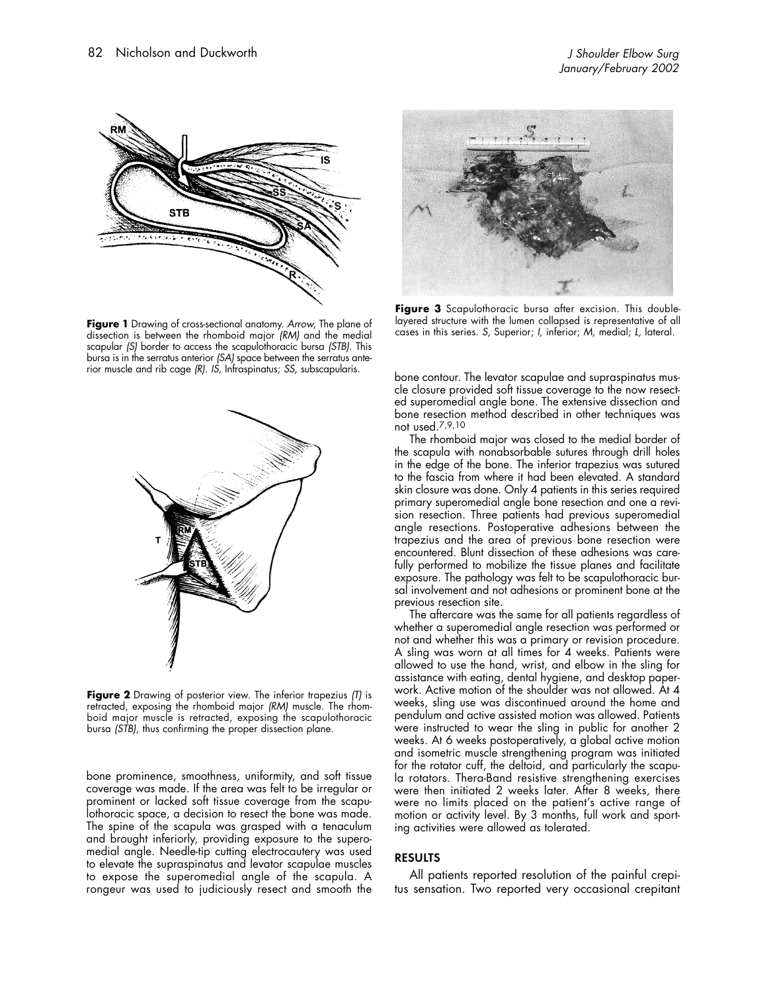

**Figure 1** Drawing of cross-sectional anatomy. *Arrow,* The plane of dissection is between the rhomboid major *(RM)* and the medial scapular *(S)* border to access the scapulothoracic bursa *(STB)*. This bursa is in the serratus anterior *(SA)* space between the serratus anterior muscle and rib cage *(R)*. *IS,* Infraspinatus; *SS,* subscapularis.



**Figure 2** Drawing of posterior view. The inferior trapezius *(T)* is retracted, exposing the rhomboid major *(RM)* muscle. The rhomboid major muscle is retracted, exposing the scapulothoracic bursa *(STB)*, thus confirming the proper dissection plane.

bone prominence, smoothness, uniformity, and soft tissue coverage was made. If the area was felt to be irregular or prominent or lacked soft tissue coverage from the scapulothoracic space, a decision to resect the bone was made. The spine of the scapula was grasped with a tenaculum and brought inferiorly, providing exposure to the superomedial angle. Needle-tip cutting electrocautery was used to elevate the supraspinatus and levator scapulae muscles to expose the superomedial angle of the scapula. A rongeur was used to judiciously resect and smooth the



Figure 3 Scapulothoracic bursa after excision. This doublelayered structure with the lumen collapsed is representative of all cases in this series. *S,* Superior; *I,* inferior; *M,* medial; *L,* lateral.

bone contour. The levator scapulae and supraspinatus muscle closure provided soft tissue coverage to the now resected superomedial angle bone. The extensive dissection and bone resection method described in other techniques was not used.7,9,10

The rhomboid major was closed to the medial border of the scapula with nonabsorbable sutures through drill holes in the edge of the bone. The inferior trapezius was sutured to the fascia from where it had been elevated. A standard skin closure was done. Only 4 patients in this series required primary superomedial angle bone resection and one a revision resection. Three patients had previous superomedial angle resections. Postoperative adhesions between the trapezius and the area of previous bone resection were encountered. Blunt dissection of these adhesions was carefully performed to mobilize the tissue planes and facilitate exposure. The pathology was felt to be scapulothoracic bursal involvement and not adhesions or prominent bone at the previous resection site.

The aftercare was the same for all patients regardless of whether a superomedial angle resection was performed or not and whether this was a primary or revision procedure. A sling was worn at all times for 4 weeks. Patients were allowed to use the hand, wrist, and elbow in the sling for assistance with eating, dental hygiene, and desktop paperwork. Active motion of the shoulder was not allowed. At 4 weeks, sling use was discontinued around the home and pendulum and active assisted motion was allowed. Patients were instructed to wear the sling in public for another 2 weeks. At 6 weeks postoperatively, a global active motion and isometric muscle strengthening program was initiated for the rotator cuff, the deltoid, and particularly the scapula rotators. Thera-Band resistive strengthening exercises were then initiated 2 weeks later. After 8 weeks, there were no limits placed on the patient's active range of motion or activity level. By 3 months, full work and sporting activities were allowed as tolerated.

#### RESULTS

All patients reported resolution of the painful crepitus sensation. Two reported very occasional crepitant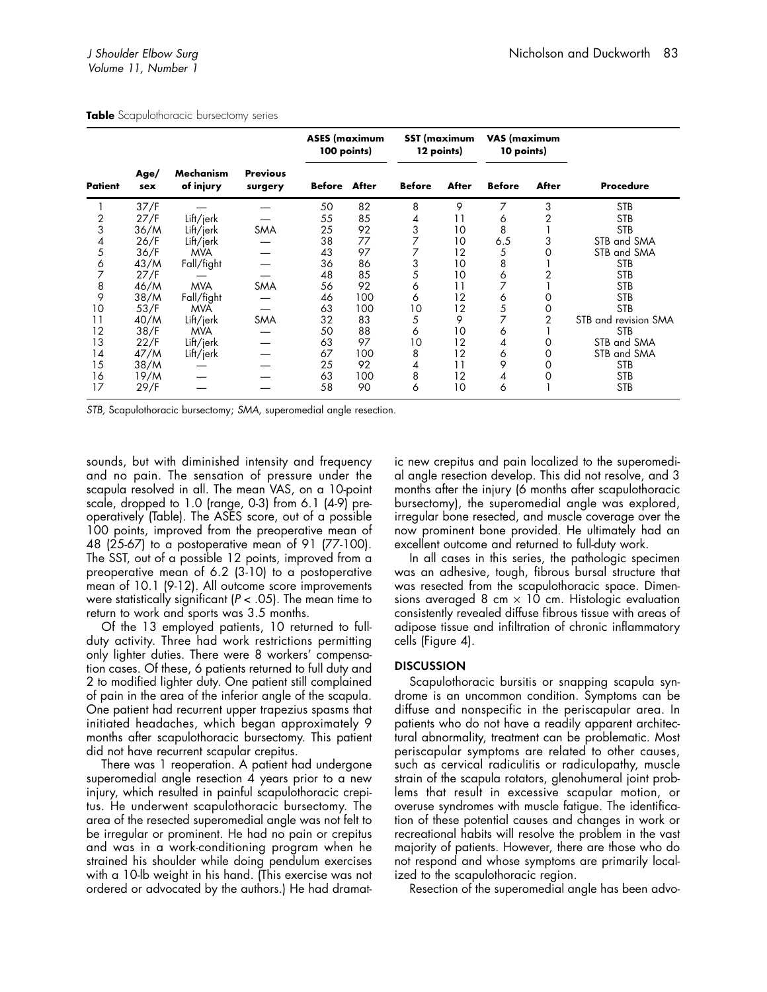**Table** Scapulothoracic bursectomy series

| <b>Patient</b> | Age/<br>sex | Mechanism<br>of injury | <b>Previous</b><br>surgery | <b>ASES (maximum</b><br>100 points) |     | <b>SST (maximum</b><br>12 points) |       | VAS (maximum<br>10 points) |                |                      |
|----------------|-------------|------------------------|----------------------------|-------------------------------------|-----|-----------------------------------|-------|----------------------------|----------------|----------------------|
|                |             |                        |                            | <b>Before After</b>                 |     | <b>Before</b>                     | After | <b>Before</b>              | After          | Procedure            |
|                | 37/F        |                        |                            | 50                                  | 82  | 8                                 | 9     | 7                          | 3              | <b>STB</b>           |
| 2              | 27/F        | Lift/jerk              |                            | 55                                  | 85  | 4                                 | 11    | 6                          | $\overline{2}$ | <b>STB</b>           |
| 3              | 36/M        | Lift/jerk              | <b>SMA</b>                 | 25                                  | 92  | 3                                 | 10    | 8                          |                | <b>STB</b>           |
| 4              | 26/F        | Lift/jerk              |                            | 38                                  | 77  | 7                                 | 10    | 6.5                        | 3              | STB and SMA          |
| 5              | 36/F        | <b>MVA</b>             |                            | 43                                  | 97  |                                   | 12    | 5                          | 0              | STB and SMA          |
| 6              | 43/M        | Fall/fight             |                            | 36                                  | 86  | 3                                 | 10    | 8                          |                | <b>STB</b>           |
|                | 27/F        |                        |                            | 48                                  | 85  | 5                                 | 10    | 6                          |                | <b>STB</b>           |
| 8              | 46/M        | <b>MVA</b>             | <b>SMA</b>                 | 56                                  | 92  | 6                                 | 11    | 7                          |                | <b>STB</b>           |
| 9              | 38/M        | Fall/fight             |                            | 46                                  | 100 | 6                                 | 12    | 6                          |                | <b>STB</b>           |
| 10             | 53/F        | <b>MVA</b>             |                            | 63                                  | 100 | 10                                | 12    | 5                          | 0              | <b>STB</b>           |
| 11             | 40/M        | Lift/jerk              | <b>SMA</b>                 | 32                                  | 83  | 5                                 | 9     | 7                          | $\overline{2}$ | STB and revision SMA |
| 12             | 38/F        | <b>MVA</b>             |                            | 50                                  | 88  | 6                                 | 10    | 6                          |                | <b>STB</b>           |
| 13             | 22/F        | Lift/jerk              |                            | 63                                  | 97  | 10                                | 12    | 4                          |                | STB and SMA          |
| 14             | 47/M        | Lift/jerk              |                            | 67                                  | 100 | 8                                 | 12    | 6                          | 0              | STB and SMA          |
| 15             | 38/M        |                        |                            | 25                                  | 92  | 4                                 | 11    | 9                          |                | <b>STB</b>           |
| 16             | 19/M        |                        |                            | 63                                  | 100 | 8                                 | 12    | 4                          | 0              | <b>STB</b>           |
| 17             | 29/F        |                        |                            | 58                                  | 90  | 6                                 | 10    | 6                          |                | <b>STB</b>           |

*STB,* Scapulothoracic bursectomy; *SMA,* superomedial angle resection.

sounds, but with diminished intensity and frequency and no pain. The sensation of pressure under the scapula resolved in all. The mean VAS, on a 10-point scale, dropped to 1.0 (range, 0-3) from 6.1 (4-9) preoperatively (Table). The ASES score, out of a possible 100 points, improved from the preoperative mean of 48 (25-67) to a postoperative mean of 91 (77-100). The SST, out of a possible 12 points, improved from a preoperative mean of 6.2 (3-10) to a postoperative mean of 10.1 (9-12). All outcome score improvements were statistically significant (*P* < .05). The mean time to return to work and sports was 3.5 months.

Of the 13 employed patients, 10 returned to fullduty activity. Three had work restrictions permitting only lighter duties. There were 8 workers' compensation cases. Of these, 6 patients returned to full duty and 2 to modified lighter duty. One patient still complained of pain in the area of the inferior angle of the scapula. One patient had recurrent upper trapezius spasms that initiated headaches, which began approximately 9 months after scapulothoracic bursectomy. This patient did not have recurrent scapular crepitus.

There was 1 reoperation. A patient had undergone superomedial angle resection  $\vec{4}$  years prior to a new injury, which resulted in painful scapulothoracic crepitus. He underwent scapulothoracic bursectomy. The area of the resected superomedial angle was not felt to be irregular or prominent. He had no pain or crepitus and was in a work-conditioning program when he strained his shoulder while doing pendulum exercises with a 10-lb weight in his hand. (This exercise was not ordered or advocated by the authors.) He had dramatic new crepitus and pain localized to the superomedial angle resection develop. This did not resolve, and 3 months after the injury (6 months after scapulothoracic bursectomy), the superomedial angle was explored, irregular bone resected, and muscle coverage over the now prominent bone provided. He ultimately had an excellent outcome and returned to full-duty work.

In all cases in this series, the pathologic specimen was an adhesive, tough, fibrous bursal structure that was resected from the scapulothoracic space. Dimensions averaged 8 cm  $\times$  10 cm. Histologic evaluation consistently revealed diffuse fibrous tissue with areas of adipose tissue and infiltration of chronic inflammatory cells (Figure 4).

# **DISCUSSION**

Scapulothoracic bursitis or snapping scapula syndrome is an uncommon condition. Symptoms can be diffuse and nonspecific in the periscapular area. In patients who do not have a readily apparent architectural abnormality, treatment can be problematic. Most periscapular symptoms are related to other causes, such as cervical radiculitis or radiculopathy, muscle strain of the scapula rotators, glenohumeral joint problems that result in excessive scapular motion, or overuse syndromes with muscle fatigue. The identification of these potential causes and changes in work or recreational habits will resolve the problem in the vast majority of patients. However, there are those who do not respond and whose symptoms are primarily localized to the scapulothoracic region.

Resection of the superomedial angle has been advo-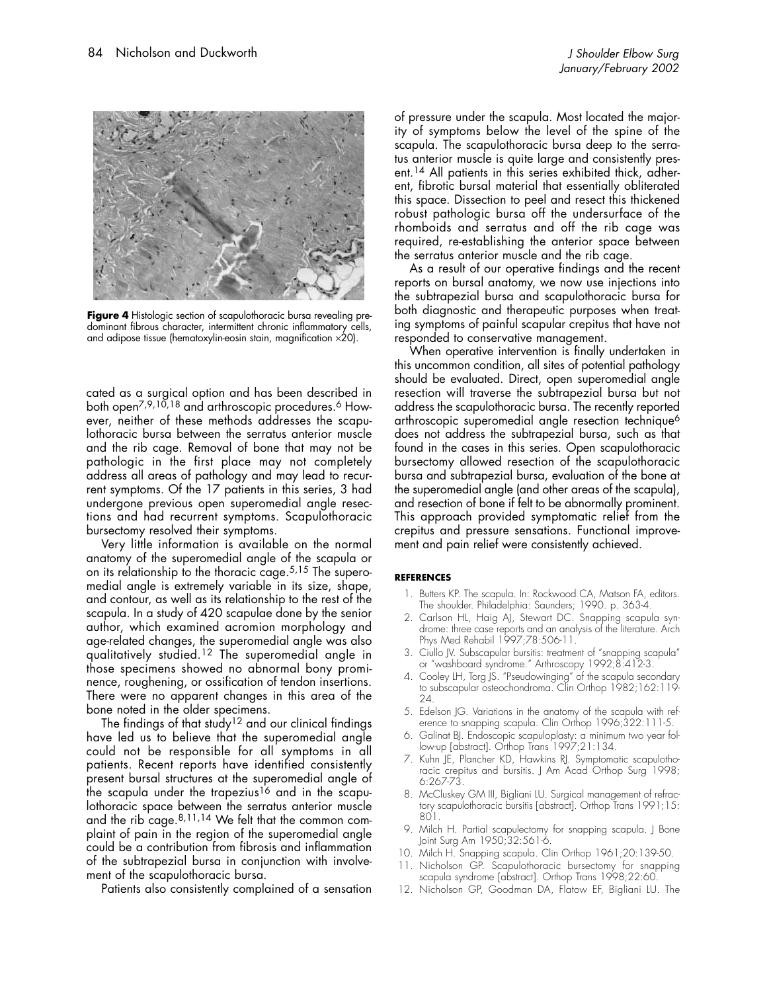

Figure 4 Histologic section of scapulothoracic bursa revealing predominant fibrous character, intermittent chronic inflammatory cells, and adipose tissue (hematoxylin-eosin stain, magnification  $\times$ 20).

cated as a surgical option and has been described in both open<sup>7,9,10,18</sup> and arthroscopic procedures.<sup>6</sup> However, neither of these methods addresses the scapulothoracic bursa between the serratus anterior muscle and the rib cage. Removal of bone that may not be pathologic in the first place may not completely address all areas of pathology and may lead to recurrent symptoms. Of the 17 patients in this series, 3 had undergone previous open superomedial angle resections and had recurrent symptoms. Scapulothoracic bursectomy resolved their symptoms.

Very little information is available on the normal anatomy of the superomedial angle of the scapula or on its relationship to the thoracic cage.<sup>5,15</sup> The superomedial angle is extremely variable in its size, shape, and contour, as well as its relationship to the rest of the scapula. In a study of 420 scapulae done by the senior author, which examined acromion morphology and age-related changes, the superomedial angle was also qualitatively studied.<sup>12</sup> The superomedial angle in those specimens showed no abnormal bony prominence, roughening, or ossification of tendon insertions. There were no apparent changes in this area of the bone noted in the older specimens.

The findings of that study<sup>12</sup> and our clinical findings have led us to believe that the superomedial angle could not be responsible for all symptoms in all patients. Recent reports have identified consistently present bursal structures at the superomedial angle of the scapula under the trapezius<sup>16</sup> and in the scapulothoracic space between the serratus anterior muscle and the rib cage.<sup>8,11,14</sup> We felt that the common complaint of pain in the region of the superomedial angle could be a contribution from fibrosis and inflammation of the subtrapezial bursa in conjunction with involvement of the scapulothoracic bursa.

Patients also consistently complained of a sensation

of pressure under the scapula. Most located the majority of symptoms below the level of the spine of the scapula. The scapulothoracic bursa deep to the serratus anterior muscle is quite large and consistently present.<sup>14</sup> All patients in this series exhibited thick, adherent, fibrotic bursal material that essentially obliterated this space. Dissection to peel and resect this thickened robust pathologic bursa off the undersurface of the rhomboids and serratus and off the rib cage was required, re-establishing the anterior space between the serratus anterior muscle and the rib cage.

As a result of our operative findings and the recent reports on bursal anatomy, we now use injections into the subtrapezial bursa and scapulothoracic bursa for both diagnostic and therapeutic purposes when treating symptoms of painful scapular crepitus that have not responded to conservative management.

When operative intervention is finally undertaken in this uncommon condition, all sites of potential pathology should be evaluated. Direct, open superomedial angle resection will traverse the subtrapezial bursa but not address the scapulothoracic bursa. The recently reported arthroscopic superomedial angle resection technique<sup>6</sup> does not address the subtrapezial bursa, such as that found in the cases in this series. Open scapulothoracic bursectomy allowed resection of the scapulothoracic bursa and subtrapezial bursa, evaluation of the bone at the superomedial angle (and other areas of the scapula), and resection of bone if felt to be abnormally prominent. This approach provided symptomatic relief from the crepitus and pressure sensations. Functional improvement and pain relief were consistently achieved.

### **REFERENCES**

- 1. Butters KP. The scapula. In: Rockwood CA, Matson FA, editors. The shoulder. Philadelphia: Saunders; 1990. p. 363-4.
- 2. Carlson HL, Haig AJ, Stewart DC. Snapping scapula syndrome: three case reports and an analysis of the literature. Arch Phys Med Rehabil 1997;78:506-11.
- 3. Ciullo JV. Subscapular bursitis: treatment of "snapping scapula" or "washboard syndrome." Arthroscopy 1992;8:412-3.
- 4. Cooley LH, Torg JS. "Pseudowinging" of the scapula secondary to subscapular osteochondroma. Clin Orthop 1982;162:119- 24.
- 5. Edelson JG. Variations in the anatomy of the scapula with reference to snapping scapula. Clin Orthop 1996;322:111-5.
- 6. Galinat BJ. Endoscopic scapuloplasty: a minimum two year follow-up [abstract]. Orthop Trans 1997;21:134.
- 7. Kuhn JE, Plancher KD, Hawkins RJ. Symptomatic scapulothoracic crepitus and bursitis. J Am Acad Orthop Surg 1998; 6:267-73.
- 8. McCluskey GM III, Bigliani LU. Surgical management of refractory scapulothoracic bursitis [abstract]. Orthop Trans 1991;15: 801.
- 9. Milch H. Partial scapulectomy for snapping scapula. J Bone Joint Surg Am 1950;32:561-6.
- 10. Milch H. Snapping scapula. Clin Orthop 1961;20:139-50.
- 11. Nicholson GP. Scapulothoracic bursectomy for snapping scapula syndrome [abstract]. Orthop Trans 1998;22:60.
- 12. Nicholson GP, Goodman DA, Flatow EF, Bigliani LU. The